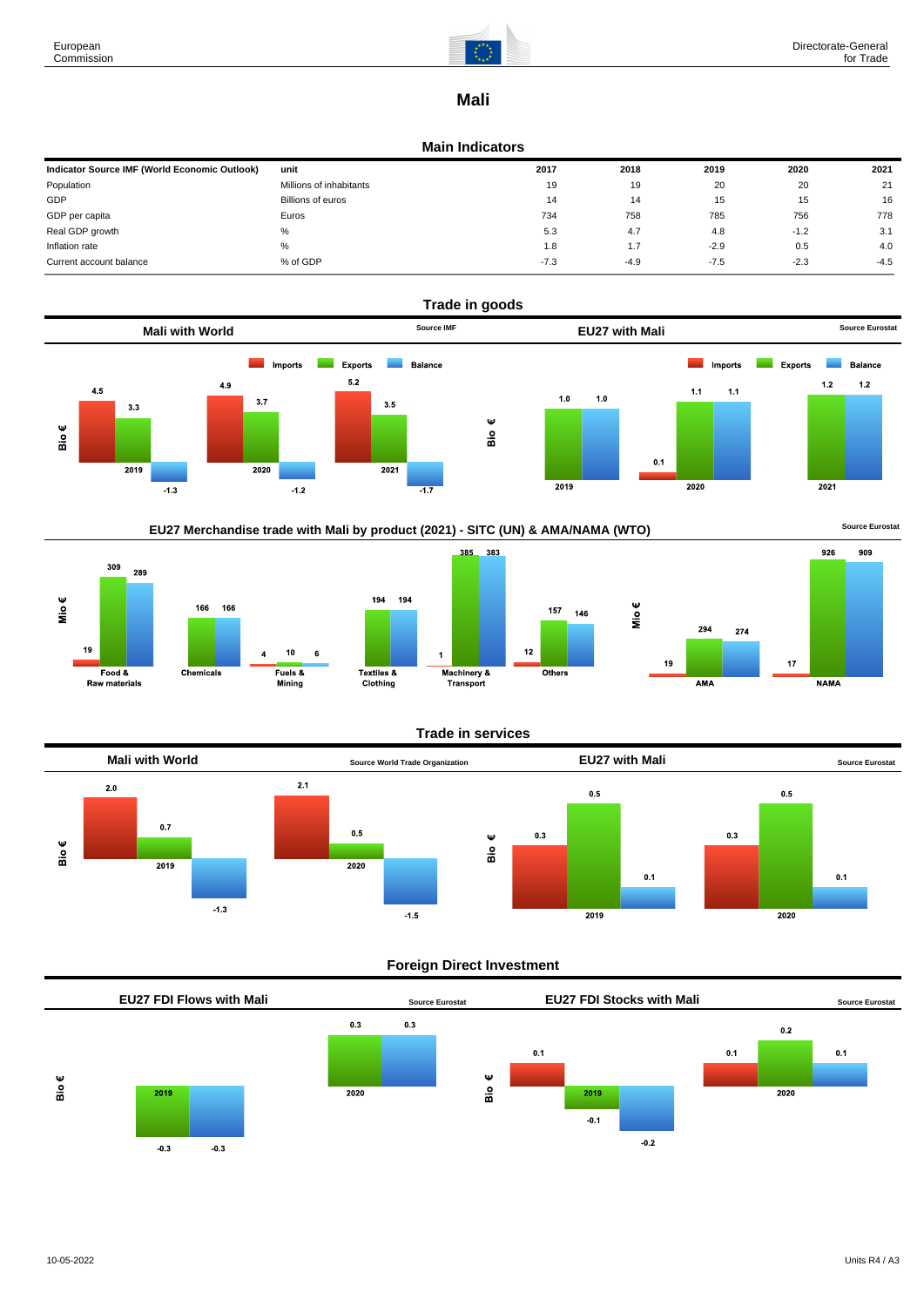

## **Mali**

#### **Main Indicators**

| Indicator Source IMF (World Economic Outlook) | unit                    | 2017   | 2018   | 2019   | 2020   | 2021   |
|-----------------------------------------------|-------------------------|--------|--------|--------|--------|--------|
| Population                                    | Millions of inhabitants | 19     | 19     | 20     | 20     | 21     |
| GDP                                           | Billions of euros       | 14     | 14     | 15     | 15     | 16     |
| GDP per capita                                | Euros                   | 734    | 758    | 785    | 756    | 778    |
| Real GDP growth                               | %                       | 5.3    | 4.7    | 4.8    | $-1.2$ | 3.1    |
| Inflation rate                                | %                       | 1.8    | 1.7    | $-2.9$ | 0.5    | 4.0    |
| Current account balance                       | % of GDP                | $-7.3$ | $-4.9$ | $-7.5$ | $-2.3$ | $-4.5$ |







### **Trade in services**



### **Foreign Direct Investment**